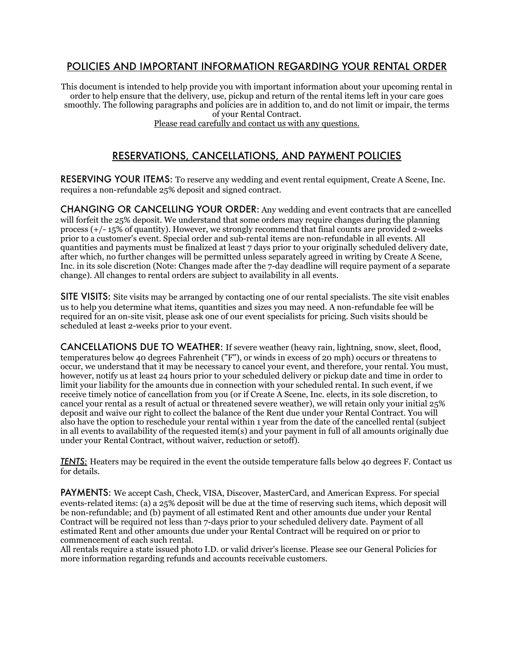## POLICIES AND IMPORTANT INFORMATION REGARDING YOUR RENTAL ORDER

This document is intended to help provide you with important information about your upcoming rental in order to help ensure that the delivery, use, pickup and return of the rental items left in your care goes smoothly. The following paragraphs and policies are in addition to, and do not limit or impair, the terms of your Rental Contract. Please read carefully and contact us with any questions.

# RESERVATIONS, CANCELLATIONS, AND PAYMENT POLICIES

RESERVING YOUR ITEMS: To reserve any wedding and event rental equipment, Create A Scene, Inc. requires a non-refundable 25% deposit and signed contract.

CHANGING OR CANCELLING YOUR ORDER: Any wedding and event contracts that are cancelled will forfeit the 25% deposit. We understand that some orders may require changes during the planning process (+/- 15% of quantity). However, we strongly recommend that final counts are provided 2-weeks prior to a customer's event. Special order and sub-rental items are non-refundable in all events. All quantities and payments must be finalized at least 7 days prior to your originally scheduled delivery date, after which, no further changes will be permitted unless separately agreed in writing by Create A Scene, Inc. in its sole discretion (Note: Changes made after the 7-day deadline will require payment of a separate change). All changes to rental orders are subject to availability in all events.

SITE VISITS: Site visits may be arranged by contacting one of our rental specialists. The site visit enables us to help you determine what items, quantities and sizes you may need. A non-refundable fee will be required for an on-site visit, please ask one of our event specialists for pricing. Such visits should be scheduled at least 2-weeks prior to your event.

CANCELLATIONS DUE TO WEATHER: If severe weather (heavy rain, lightning, snow, sleet, flood, temperatures below 40 degrees Fahrenheit ("F"), or winds in excess of 20 mph) occurs or threatens to occur, we understand that it may be necessary to cancel your event, and therefore, your rental. You must, however, notify us at least 24 hours prior to your scheduled delivery or pickup date and time in order to limit your liability for the amounts due in connection with your scheduled rental. In such event, if we receive timely notice of cancellation from you (or if Create A Scene, Inc. elects, in its sole discretion, to cancel your rental as a result of actual or threatened severe weather), we will retain only your initial 25% deposit and waive our right to collect the balance of the Rent due under your Rental Contract. You will also have the option to reschedule your rental within 1 year from the date of the cancelled rental (subject in all events to availability of the requested item(s) and your payment in full of all amounts originally due under your Rental Contract, without waiver, reduction or setoff).

*TENTS:* Heaters may be required in the event the outside temperature falls below 40 degrees F. Contact us for details.

PAYMENTS: We accept Cash, Check, VISA, Discover, MasterCard, and American Express. For special events-related items: (a) a 25% deposit will be due at the time of reserving such items, which deposit will be non-refundable; and (b) payment of all estimated Rent and other amounts due under your Rental Contract will be required not less than 7-days prior to your scheduled delivery date. Payment of all estimated Rent and other amounts due under your Rental Contract will be required on or prior to commencement of each such rental.

All rentals require a state issued photo I.D. or valid driver's license. Please see our General Policies for more information regarding refunds and accounts receivable customers.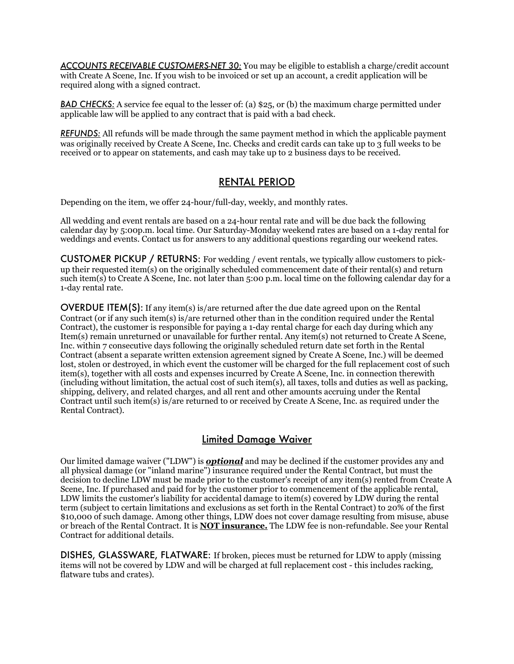*ACCOUNTS RECEIVABLE CUSTOMERS-NET 30:* You may be eligible to establish a charge/credit account with Create A Scene, Inc. If you wish to be invoiced or set up an account, a credit application will be required along with a signed contract.

*BAD CHECKS:* A service fee equal to the lesser of: (a) \$25, or (b) the maximum charge permitted under applicable law will be applied to any contract that is paid with a bad check.

*REFUNDS:* All refunds will be made through the same payment method in which the applicable payment was originally received by Create A Scene, Inc. Checks and credit cards can take up to 3 full weeks to be received or to appear on statements, and cash may take up to 2 business days to be received.

## RENTAL PERIOD

Depending on the item, we offer 24-hour/full-day, weekly, and monthly rates.

All wedding and event rentals are based on a 24-hour rental rate and will be due back the following calendar day by 5:00p.m. local time. Our Saturday-Monday weekend rates are based on a 1-day rental for weddings and events. Contact us for answers to any additional questions regarding our weekend rates.

CUSTOMER PICKUP / RETURNS: For wedding / event rentals, we typically allow customers to pickup their requested item(s) on the originally scheduled commencement date of their rental(s) and return such item(s) to Create A Scene, Inc. not later than 5:00 p.m. local time on the following calendar day for a 1-day rental rate.

OVERDUE ITEM(S): If any item(s) is/are returned after the due date agreed upon on the Rental Contract (or if any such item(s) is/are returned other than in the condition required under the Rental Contract), the customer is responsible for paying a 1-day rental charge for each day during which any Item(s) remain unreturned or unavailable for further rental. Any item(s) not returned to Create A Scene, Inc. within 7 consecutive days following the originally scheduled return date set forth in the Rental Contract (absent a separate written extension agreement signed by Create A Scene, Inc.) will be deemed lost, stolen or destroyed, in which event the customer will be charged for the full replacement cost of such item(s), together with all costs and expenses incurred by Create A Scene, Inc. in connection therewith (including without limitation, the actual cost of such item(s), all taxes, tolls and duties as well as packing, shipping, delivery, and related charges, and all rent and other amounts accruing under the Rental Contract until such item(s) is/are returned to or received by Create A Scene, Inc. as required under the Rental Contract).

## Limited Damage Waiver

Our limited damage waiver ("LDW") is *optional* and may be declined if the customer provides any and all physical damage (or "inland marine") insurance required under the Rental Contract, but must the decision to decline LDW must be made prior to the customer's receipt of any item(s) rented from Create A Scene, Inc. If purchased and paid for by the customer prior to commencement of the applicable rental, LDW limits the customer's liability for accidental damage to item(s) covered by LDW during the rental term (subject to certain limitations and exclusions as set forth in the Rental Contract) to 20% of the first \$10,000 of such damage. Among other things, LDW does not cover damage resulting from misuse, abuse or breach of the Rental Contract. It is **NOT insurance.** The LDW fee is non-refundable. See your Rental Contract for additional details.

DISHES, GLASSWARE, FLATWARE: If broken, pieces must be returned for LDW to apply (missing items will not be covered by LDW and will be charged at full replacement cost - this includes racking, flatware tubs and crates).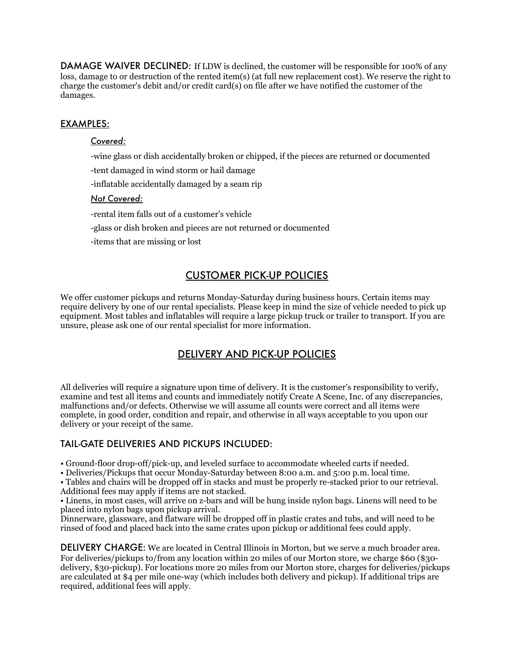DAMAGE WAIVER DECLINED: If LDW is declined, the customer will be responsible for 100% of any loss, damage to or destruction of the rented item(s) (at full new replacement cost). We reserve the right to charge the customer's debit and/or credit card(s) on file after we have notified the customer of the damages.

#### EXAMPLES:

#### *Covered:*

-wine glass or dish accidentally broken or chipped, if the pieces are returned or documented

-tent damaged in wind storm or hail damage

-inflatable accidentally damaged by a seam rip

#### *Not Covered:*

-rental item falls out of a customer's vehicle

-glass or dish broken and pieces are not returned or documented

-items that are missing or lost

## CUSTOMER PICK-UP POLICIES

We offer customer pickups and returns Monday-Saturday during business hours. Certain items may require delivery by one of our rental specialists. Please keep in mind the size of vehicle needed to pick up equipment. Most tables and inflatables will require a large pickup truck or trailer to transport. If you are unsure, please ask one of our rental specialist for more information.

# DELIVERY AND PICK-UP POLICIES

All deliveries will require a signature upon time of delivery. It is the customer's responsibility to verify, examine and test all items and counts and immediately notify Create A Scene, Inc. of any discrepancies, malfunctions and/or defects. Otherwise we will assume all counts were correct and all items were complete, in good order, condition and repair, and otherwise in all ways acceptable to you upon our delivery or your receipt of the same.

#### TAIL-GATE DELIVERIES AND PICKUPS INCLUDED:

• Ground-floor drop-off/pick-up, and leveled surface to accommodate wheeled carts if needed.

• Deliveries/Pickups that occur Monday-Saturday between 8:00 a.m. and 5:00 p.m. local time.

• Tables and chairs will be dropped off in stacks and must be properly re-stacked prior to our retrieval. Additional fees may apply if items are not stacked.

• Linens, in most cases, will arrive on z-bars and will be hung inside nylon bags. Linens will need to be placed into nylon bags upon pickup arrival.

Dinnerware, glassware, and flatware will be dropped off in plastic crates and tubs, and will need to be rinsed of food and placed back into the same crates upon pickup or additional fees could apply.

DELIVERY CHARGE: We are located in Central Illinois in Morton, but we serve a much broader area. For deliveries/pickups to/from any location within 20 miles of our Morton store, we charge \$60 (\$30 delivery, \$30-pickup). For locations more 20 miles from our Morton store, charges for deliveries/pickups are calculated at \$4 per mile one-way (which includes both delivery and pickup). If additional trips are required, additional fees will apply.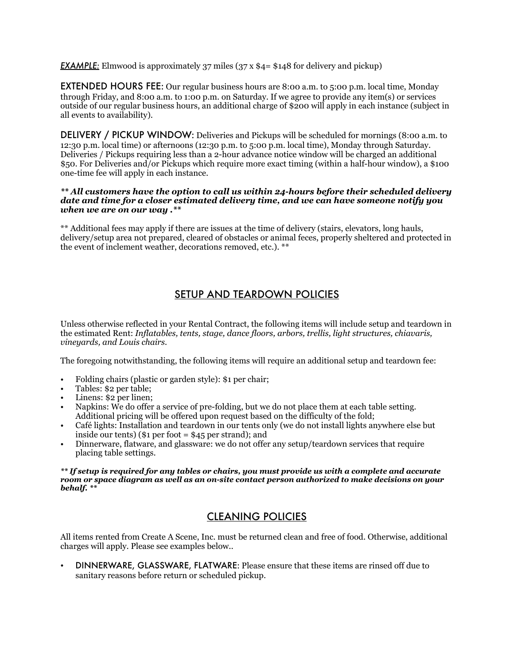*EXAMPLE:* Elmwood is approximately 37 miles (37 x \$4= \$148 for delivery and pickup)

EXTENDED HOURS FEE: Our regular business hours are 8:00 a.m. to 5:00 p.m. local time, Monday through Friday, and 8:00 a.m. to 1:00 p.m. on Saturday. If we agree to provide any item(s) or services outside of our regular business hours, an additional charge of \$200 will apply in each instance (subject in all events to availability).

DELIVERY / PICKUP WINDOW: Deliveries and Pickups will be scheduled for mornings (8:00 a.m. to 12:30 p.m. local time) or afternoons (12:30 p.m. to 5:00 p.m. local time), Monday through Saturday. Deliveries / Pickups requiring less than a 2-hour advance notice window will be charged an additional \$50. For Deliveries and/or Pickups which require more exact timing (within a half-hour window), a \$100 one-time fee will apply in each instance.

#### *\*\* All customers have the option to call us within 24-hours before their scheduled delivery date and time for a closer estimated delivery time, and we can have someone notify you when we are on our way .\*\**

\*\* Additional fees may apply if there are issues at the time of delivery (stairs, elevators, long hauls, delivery/setup area not prepared, cleared of obstacles or animal feces, properly sheltered and protected in the event of inclement weather, decorations removed, etc.). \*\*

# SETUP AND TEARDOWN POLICIES

Unless otherwise reflected in your Rental Contract, the following items will include setup and teardown in the estimated Rent: *Inflatables, tents, stage, dance floors, arbors, trellis, light structures, chiavaris, vineyards, and Louis chairs.*

The foregoing notwithstanding, the following items will require an additional setup and teardown fee:

- Folding chairs (plastic or garden style): \$1 per chair;
- Tables: \$2 per table;
- Linens: \$2 per linen;
- Napkins: We do offer a service of pre-folding, but we do not place them at each table setting. Additional pricing will be offered upon request based on the difficulty of the fold;
- Café lights: Installation and teardown in our tents only (we do not install lights anywhere else but inside our tents) ( $\$1$  per foot =  $\$45$  per strand); and
- Dinnerware, flatware, and glassware: we do not offer any setup/teardown services that require placing table settings.

#### *\*\* If setup is required for any tables or chairs, you must provide us with a complete and accurate room or space diagram as well as an on-site contact person authorized to make decisions on your behalf. \*\**

# CLEANING POLICIES

All items rented from Create A Scene, Inc. must be returned clean and free of food. Otherwise, additional charges will apply. Please see examples below..

• DINNERWARE, GLASSWARE, FLATWARE: Please ensure that these items are rinsed off due to sanitary reasons before return or scheduled pickup.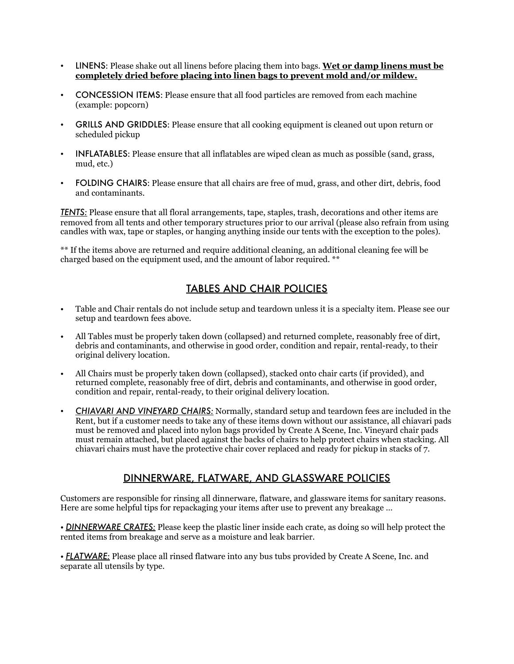- LINENS: Please shake out all linens before placing them into bags. **Wet or damp linens must be completely dried before placing into linen bags to prevent mold and/or mildew.**
- CONCESSION ITEMS: Please ensure that all food particles are removed from each machine (example: popcorn)
- GRILLS AND GRIDDLES: Please ensure that all cooking equipment is cleaned out upon return or scheduled pickup
- INFLATABLES: Please ensure that all inflatables are wiped clean as much as possible (sand, grass, mud, etc.)
- FOLDING CHAIRS: Please ensure that all chairs are free of mud, grass, and other dirt, debris, food and contaminants.

*TENTS:* Please ensure that all floral arrangements, tape, staples, trash, decorations and other items are removed from all tents and other temporary structures prior to our arrival (please also refrain from using candles with wax, tape or staples, or hanging anything inside our tents with the exception to the poles).

\*\* If the items above are returned and require additional cleaning, an additional cleaning fee will be charged based on the equipment used, and the amount of labor required. \*\*

# TABLES AND CHAIR POLICIES

- Table and Chair rentals do not include setup and teardown unless it is a specialty item. Please see our setup and teardown fees above.
- All Tables must be properly taken down (collapsed) and returned complete, reasonably free of dirt, debris and contaminants, and otherwise in good order, condition and repair, rental-ready, to their original delivery location.
- All Chairs must be properly taken down (collapsed), stacked onto chair carts (if provided), and returned complete, reasonably free of dirt, debris and contaminants, and otherwise in good order, condition and repair, rental-ready, to their original delivery location.
- *CHIAVARI AND VINEYARD CHAIRS:* Normally, standard setup and teardown fees are included in the Rent, but if a customer needs to take any of these items down without our assistance, all chiavari pads must be removed and placed into nylon bags provided by Create A Scene, Inc. Vineyard chair pads must remain attached, but placed against the backs of chairs to help protect chairs when stacking. All chiavari chairs must have the protective chair cover replaced and ready for pickup in stacks of  $7$ .

## DINNERWARE, FLATWARE, AND GLASSWARE POLICIES

Customers are responsible for rinsing all dinnerware, flatware, and glassware items for sanitary reasons. Here are some helpful tips for repackaging your items after use to prevent any breakage ...

• *DINNERWARE CRATES:* Please keep the plastic liner inside each crate, as doing so will help protect the rented items from breakage and serve as a moisture and leak barrier.

• *FLATWARE:* Please place all rinsed flatware into any bus tubs provided by Create A Scene, Inc. and separate all utensils by type.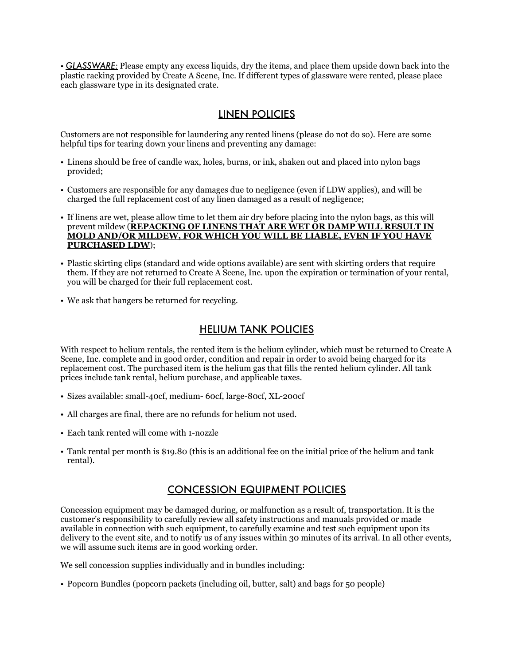• *GLASSWARE:* Please empty any excess liquids, dry the items, and place them upside down back into the plastic racking provided by Create A Scene, Inc. If different types of glassware were rented, please place each glassware type in its designated crate.

## LINEN POLICIES

Customers are not responsible for laundering any rented linens (please do not do so). Here are some helpful tips for tearing down your linens and preventing any damage:

- Linens should be free of candle wax, holes, burns, or ink, shaken out and placed into nylon bags provided;
- Customers are responsible for any damages due to negligence (even if LDW applies), and will be charged the full replacement cost of any linen damaged as a result of negligence;
- If linens are wet, please allow time to let them air dry before placing into the nylon bags, as this will prevent mildew (**REPACKING OF LINENS THAT ARE WET OR DAMP WILL RESULT IN MOLD AND/OR MILDEW, FOR WHICH YOU WILL BE LIABLE, EVEN IF YOU HAVE PURCHASED LDW**);
- Plastic skirting clips (standard and wide options available) are sent with skirting orders that require them. If they are not returned to Create A Scene, Inc. upon the expiration or termination of your rental, you will be charged for their full replacement cost.
- We ask that hangers be returned for recycling.

#### HELIUM TANK POLICIES

With respect to helium rentals, the rented item is the helium cylinder, which must be returned to Create A Scene, Inc. complete and in good order, condition and repair in order to avoid being charged for its replacement cost. The purchased item is the helium gas that fills the rented helium cylinder. All tank prices include tank rental, helium purchase, and applicable taxes.

- Sizes available: small-40cf, medium- 60cf, large-80cf, XL-200cf
- All charges are final, there are no refunds for helium not used.
- Each tank rented will come with 1-nozzle
- Tank rental per month is \$19.80 (this is an additional fee on the initial price of the helium and tank rental).

# CONCESSION EQUIPMENT POLICIES

Concession equipment may be damaged during, or malfunction as a result of, transportation. It is the customer's responsibility to carefully review all safety instructions and manuals provided or made available in connection with such equipment, to carefully examine and test such equipment upon its delivery to the event site, and to notify us of any issues within 30 minutes of its arrival. In all other events, we will assume such items are in good working order.

We sell concession supplies individually and in bundles including:

• Popcorn Bundles (popcorn packets (including oil, butter, salt) and bags for 50 people)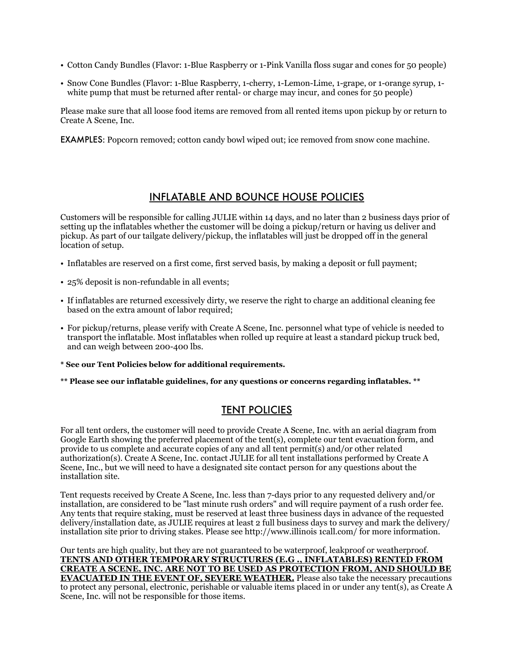- Cotton Candy Bundles (Flavor: 1-Blue Raspberry or 1-Pink Vanilla floss sugar and cones for 50 people)
- Snow Cone Bundles (Flavor: 1-Blue Raspberry, 1-cherry, 1-Lemon-Lime, 1-grape, or 1-orange syrup, 1 white pump that must be returned after rental- or charge may incur, and cones for 50 people)

Please make sure that all loose food items are removed from all rented items upon pickup by or return to Create A Scene, Inc.

EXAMPLES: Popcorn removed; cotton candy bowl wiped out; ice removed from snow cone machine.

## INFLATABLE AND BOUNCE HOUSE POLICIES

Customers will be responsible for calling JULIE within 14 days, and no later than 2 business days prior of setting up the inflatables whether the customer will be doing a pickup/return or having us deliver and pickup. As part of our tailgate delivery/pickup, the inflatables will just be dropped off in the general location of setup.

- Inflatables are reserved on a first come, first served basis, by making a deposit or full payment;
- 25% deposit is non-refundable in all events;
- If inflatables are returned excessively dirty, we reserve the right to charge an additional cleaning fee based on the extra amount of labor required;
- For pickup/returns, please verify with Create A Scene, Inc. personnel what type of vehicle is needed to transport the inflatable. Most inflatables when rolled up require at least a standard pickup truck bed, and can weigh between 200-400 lbs.
- **\* See our Tent Policies below for additional requirements.**
- **\*\* Please see our inflatable guidelines, for any questions or concerns regarding inflatables. \*\***

# TENT POLICIES

For all tent orders, the customer will need to provide Create A Scene, Inc. with an aerial diagram from Google Earth showing the preferred placement of the tent(s), complete our tent evacuation form, and provide to us complete and accurate copies of any and all tent permit(s) and/or other related authorization(s). Create A Scene, Inc. contact JULIE for all tent installations performed by Create A Scene, Inc., but we will need to have a designated site contact person for any questions about the installation site.

Tent requests received by Create A Scene, Inc. less than 7-days prior to any requested delivery and/or installation, are considered to be "last minute rush orders" and will require payment of a rush order fee. Any tents that require staking, must be reserved at least three business days in advance of the requested delivery/installation date, as JULIE requires at least 2 full business days to survey and mark the delivery/ installation site prior to driving stakes. Please see http://www.illinois 1call.com/ for more information.

Our tents are high quality, but they are not guaranteed to be waterproof, leakproof or weatherproof. **TENTS AND OTHER TEMPORARY STRUCTURES (E.G ., INFLATABLES) RENTED FROM CREATE A SCENE, INC. ARE NOT TO BE USED AS PROTECTION FROM, AND SHOULD BE EVACUATED IN THE EVENT OF, SEVERE WEATHER.** Please also take the necessary precautions to protect any personal, electronic, perishable or valuable items placed in or under any tent(s), as Create A Scene, Inc. will not be responsible for those items.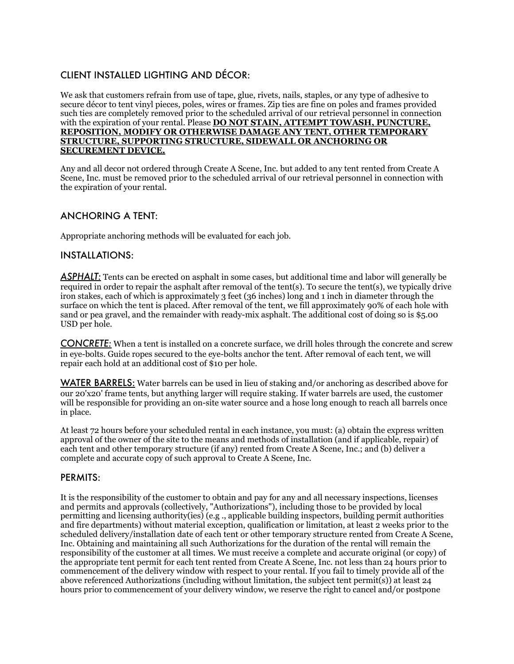#### CLIENT INSTALLED LIGHTING AND DÉCOR:

We ask that customers refrain from use of tape, glue, rivets, nails, staples, or any type of adhesive to secure décor to tent vinyl pieces, poles, wires or frames. Zip ties are fine on poles and frames provided such ties are completely removed prior to the scheduled arrival of our retrieval personnel in connection with the expiration of your rental. Please **DO NOT STAIN, ATTEMPT TOWASH, PUNCTURE, REPOSITION, MODIFY OR OTHERWISE DAMAGE ANY TENT, OTHER TEMPORARY STRUCTURE, SUPPORTING STRUCTURE, SIDEWALL OR ANCHORING OR SECUREMENT DEVICE.** 

Any and all decor not ordered through Create A Scene, Inc. but added to any tent rented from Create A Scene, Inc. must be removed prior to the scheduled arrival of our retrieval personnel in connection with the expiration of your rental.

#### ANCHORING A TENT:

Appropriate anchoring methods will be evaluated for each job.

#### INSTALLATIONS:

**ASPHALT:** Tents can be erected on asphalt in some cases, but additional time and labor will generally be required in order to repair the asphalt after removal of the tent(s). To secure the tent(s), we typically drive iron stakes, each of which is approximately 3 feet (36 inches) long and 1 inch in diameter through the surface on which the tent is placed. After removal of the tent, we fill approximately 90% of each hole with sand or pea gravel, and the remainder with ready-mix asphalt. The additional cost of doing so is \$5.00 USD per hole.

*CONCRETE:* When a tent is installed on a concrete surface, we drill holes through the concrete and screw in eye-bolts. Guide ropes secured to the eye-bolts anchor the tent. After removal of each tent, we will repair each hold at an additional cost of \$10 per hole.

WATER BARRELS: Water barrels can be used in lieu of staking and/or anchoring as described above for our 20'x20' frame tents, but anything larger will require staking. If water barrels are used, the customer will be responsible for providing an on-site water source and a hose long enough to reach all barrels once in place.

At least 72 hours before your scheduled rental in each instance, you must: (a) obtain the express written approval of the owner of the site to the means and methods of installation (and if applicable, repair) of each tent and other temporary structure (if any) rented from Create A Scene, Inc.; and (b) deliver a complete and accurate copy of such approval to Create A Scene, Inc.

#### PERMITS:

It is the responsibility of the customer to obtain and pay for any and all necessary inspections, licenses and permits and approvals (collectively, "Authorizations"), including those to be provided by local permitting and licensing authority(ies) (e.g ., applicable building inspectors, building permit authorities and fire departments) without material exception, qualification or limitation, at least 2 weeks prior to the scheduled delivery/installation date of each tent or other temporary structure rented from Create A Scene, Inc. Obtaining and maintaining all such Authorizations for the duration of the rental will remain the responsibility of the customer at all times. We must receive a complete and accurate original (or copy) of the appropriate tent permit for each tent rented from Create A Scene, Inc. not less than 24 hours prior to commencement of the delivery window with respect to your rental. If you fail to timely provide all of the above referenced Authorizations (including without limitation, the subject tent permit(s)) at least 24 hours prior to commencement of your delivery window, we reserve the right to cancel and/or postpone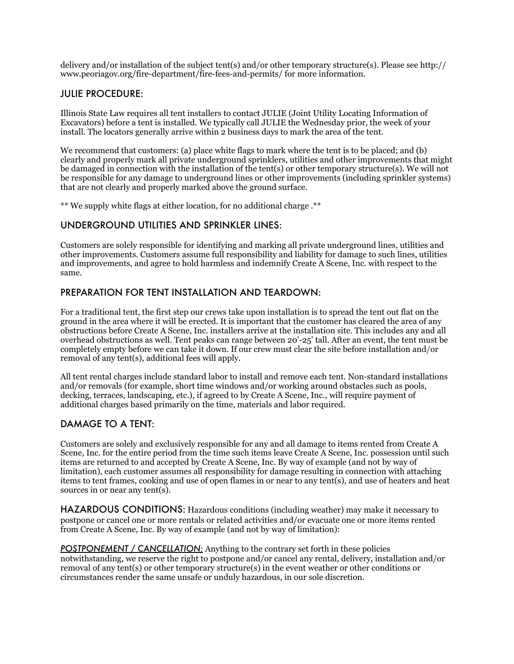delivery and/or installation of the subject tent(s) and/or other temporary structure(s). Please see http:// www.peoriagov.org/fire-department/fire-fees-and-permits/ for more information.

#### JULIE PROCEDURE:

Illinois State Law requires all tent installers to contact JULIE (Joint Utility Locating Information of Excavators) before a tent is installed. We typically call JULIE the Wednesday prior, the week of your install. The locators generally arrive within 2 business days to mark the area of the tent.

We recommend that customers: (a) place white flags to mark where the tent is to be placed; and (b) clearly and properly mark all private underground sprinklers, utilities and other improvements that might be damaged in connection with the installation of the tent(s) or other temporary structure(s). We will not be responsible for any damage to underground lines or other improvements (including sprinkler systems) that are not clearly and properly marked above the ground surface.

\*\* We supply white flags at either location, for no additional charge .\*\*

#### UNDERGROUND UTILITIES AND SPRINKLER LINES:

Customers are solely responsible for identifying and marking all private underground lines, utilities and other improvements. Customers assume full responsibility and liability for damage to such lines, utilities and improvements, and agree to hold harmless and indemnify Create A Scene, Inc. with respect to the same.

#### PREPARATION FOR TENT INSTALLATION AND TEARDOWN:

For a traditional tent, the first step our crews take upon installation is to spread the tent out flat on the ground in the area where it will be erected. It is important that the customer has cleared the area of any obstructions before Create A Scene, Inc. installers arrive at the installation site. This includes any and all overhead obstructions as well. Tent peaks can range between 20'-25' tall. After an event, the tent must be completely empty before we can take it down. If our crew must clear the site before installation and/or removal of any tent(s), additional fees will apply.

All tent rental charges include standard labor to install and remove each tent. Non-standard installations and/or removals (for example, short time windows and/or working around obstacles such as pools, decking, terraces, landscaping, etc.), if agreed to by Create A Scene, Inc., will require payment of additional charges based primarily on the time, materials and labor required.

## DAMAGE TO A TENT:

Customers are solely and exclusively responsible for any and all damage to items rented from Create A Scene, Inc. for the entire period from the time such items leave Create A Scene, Inc. possession until such items are returned to and accepted by Create A Scene, Inc. By way of example (and not by way of limitation), each customer assumes all responsibility for damage resulting in connection with attaching items to tent frames, cooking and use of open flames in or near to any tent(s), and use of heaters and heat sources in or near any tent(s).

HAZARDOUS CONDITIONS: Hazardous conditions (including weather) may make it necessary to postpone or cancel one or more rentals or related activities and/or evacuate one or more items rented from Create A Scene, Inc. By way of example (and not by way of limitation):

*POSTPONEMENT / CANCELLATION:* Anything to the contrary set forth in these policies notwithstanding, we reserve the right to postpone and/or cancel any rental, delivery, installation and/or removal of any tent(s) or other temporary structure(s) in the event weather or other conditions or circumstances render the same unsafe or unduly hazardous, in our sole discretion.